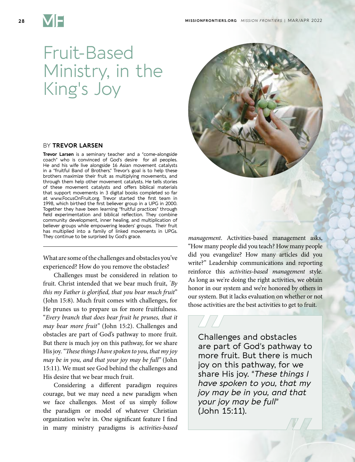

## Fruit-Based Ministry, in the King's Joy

## BY **TREVOR LARSEN**

**Trevor Larsen** is a seminary teacher and a "come-alongside coach" who is convinced of God's desire for all peoples. He and his wife live alongside 16 Asian movement catalysts in a "fruitful Band of Brothers." Trevor's goal is to help these brothers maximize their fruit as multiplying movements, and through them help other movement catalysts. He tells stories of these movement catalysts and offers biblical materials that support movements in 3 digital books completed so far at www.FocusOnFruit.org. Trevor started the first team in 1998, which birthed the first believer group in a UPG in 2000. Together they have been learning "fruitful practices" through field experimentation and biblical reflection. They combine community development, inner healing, and multiplication of believer groups while empowering leaders' groups. Their fruit has multiplied into a family of linked movements in UPGs. They continue to be surprised by God's grace.

What are some of the challenges and obstacles you've experienced? How do you remove the obstacles?

Challenges must be considered in relation to fruit. Christ intended that we bear much fruit, *" By this my Father is glorified, that you bear much fruit*" (John 15:8). Much fruit comes with challenges, for He prunes us to prepare us for more fruitfulness. "*Every branch that does bear fruit he prunes, that it may bear more fruit"* (John 15:2). Challenges and obstacles are part of God's pathway to more fruit. But there is much joy on this pathway, for we share His joy. *"These things I have spoken to you, that my joy may be in you, and that your joy may be full"* (John 15:11). We must see God behind the challenges and His desire that we bear much fruit.

Considering a different paradigm requires courage, but we may need a new paradigm when we face challenges. Most of us simply follow the paradigm or model of whatever Christian organization we're in. One significant feature I find in many ministry paradigms is *activities-based* 



*management*. Activities-based management asks, "How many people did you teach? How many people did you evangelize? How many articles did you write?" Leadership communications and reporting reinforce this *activities-based management* style. As long as we're doing the right activities, we obtain honor in our system and we're honored by others in our system. But it lacks evaluation on whether or not those activities are the best activities to get to fruit.

Challenges and obstacles are part of God's pathway to more fruit. But there is much joy on this pathway, for we share His joy. "*These things I have spoken to you, that my joy may be in you, and that your joy may be full*" (John 15:11).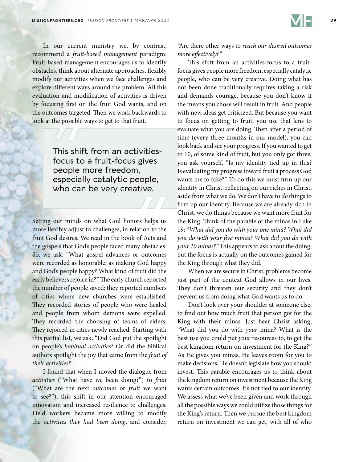

In our current ministry we, by contrast, recommend a *fruit-based management* paradigm. Fruit-based management encourages us to identify obstacles, think about alternate approaches, flexibly modify our activities when we face challenges and explore different ways around the problem. All this evaluation and modification of activities is driven by focusing first on the fruit God wants, and on the outcomes targeted. Then we work backwards to look at the possible ways to get to that fruit.

> This shift from an activitiesfocus to a fruit-focus gives people more freedom, especially catalytic people, who can be very creative.

Setting our minds on what God honors helps us more flexibly adjust to challenges, in relation to the fruit God desires. We read in the book of Acts and the gospels that God's people faced many obstacles. So, we ask, "What gospel advances or outcomes were recorded as honorable, as making God happy and God's people happy? What kind of fruit did the early believers rejoice in?" The early church reported the number of people saved; they reported numbers of cities where new churches were established. They recorded stories of people who were healed and people from whom demons were expelled. They recorded the choosing of teams of elders. They rejoiced in cities newly reached. Starting with this partial list, we ask, "Did God put the spotlight on people's *habitual activities?* Or did the biblical authors spotlight the joy that came from the *fruit of their activities?* 

I found that when I moved the dialogue from *activities* ("What have we been doing?") to *fruit* ("What are the next *outcomes* or *fruit* we want to see?"), this shift in our attention encouraged innovation and increased resilience to challenges. Field workers became more willing to modify the *activities they had been doing*, and consider,

"Are there other ways to *reach our desired outcomes more effectively?"*

This shift from an activities-focus to a fruitfocus gives people more freedom, especially catalytic people, who can be very creative. Doing what has not been done traditionally requires taking a risk and demands courage, because you don't know if the means you chose will result in fruit. And people with new ideas get criticized. But because you want to focus on getting to fruit, you use that lens to evaluate what you are doing. Then after a period of time (every three months in our model), you can look back and see your progress. If you wanted to get to 10, of some kind of fruit, but you only got three, you ask yourself, "Is my identity tied up in this? Is evaluating my progress toward fruit a process God wants me to take?" To do this we must firm up our identity in Christ, reflecting on our riches in Christ, aside from what we do. We don't have to *do* things to firm up our identity. Because we are already rich in Christ, we do things because we want more fruit for the King. Think of the parable of the minas in Luke 19: "*What did you do with your one mina? What did you do with your five minas? What did you do with your 10 minas?"* This appears to ask about the doing, but the focus is actually on the outcomes gained for the King through what they did.

When we are secure in Christ, problems become just part of the context God allows in our lives. They don't threaten our security and they don't prevent us from doing what God wants us to do.

Don't look over your shoulder at someone else, to find out how much fruit that person got for the King with their minas. Just hear Christ asking, "What did you do with *your* mina? What is the best use you could put *your* resources to, to get the best kingdom return on investment for the King?" As He gives you minas, He leaves room for you to make decisions; He doesn't legislate how you should invest. This parable encourages us to think about the kingdom return on investment because the King wants certain outcomes. It's not tied to our identity. We assess what we've been given and work through all the possible ways we could utilize those things for the King's return. Then we pursue the best kingdom return on investment we can get, with all of who